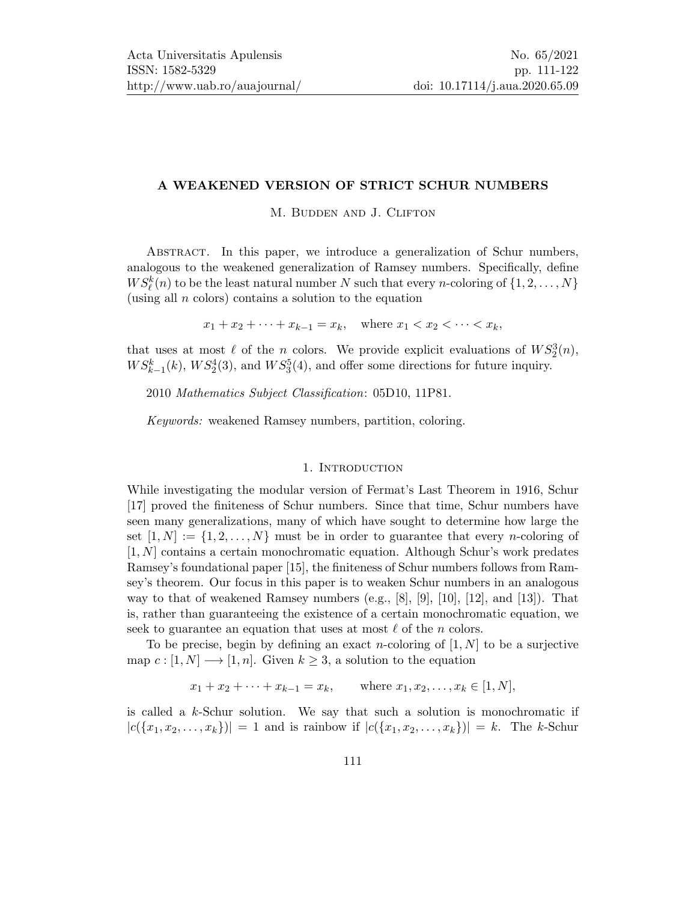## A WEAKENED VERSION OF STRICT SCHUR NUMBERS

M. BUDDEN AND J. CLIFTON

Abstract. In this paper, we introduce a generalization of Schur numbers, analogous to the weakened generalization of Ramsey numbers. Specifically, define  $WS_{\ell}^k(n)$  to be the least natural number N such that every n-coloring of  $\{1, 2, ..., N\}$ (using all  $n$  colors) contains a solution to the equation

 $x_1 + x_2 + \cdots + x_{k-1} = x_k$ , where  $x_1 < x_2 < \cdots < x_k$ ,

that uses at most  $\ell$  of the n colors. We provide explicit evaluations of  $WS_2^3(n)$ ,  $WS_{k-1}^k(k)$ ,  $WS_2^4(3)$ , and  $WS_3^5(4)$ , and offer some directions for future inquiry.

2010 Mathematics Subject Classification: 05D10, 11P81.

Keywords: weakened Ramsey numbers, partition, coloring.

## 1. INTRODUCTION

While investigating the modular version of Fermat's Last Theorem in 1916, Schur [\[17\]](#page-11-1) proved the finiteness of Schur numbers. Since that time, Schur numbers have seen many generalizations, many of which have sought to determine how large the set  $[1, N] := \{1, 2, \ldots, N\}$  must be in order to guarantee that every *n*-coloring of [1, N] contains a certain monochromatic equation. Although Schur's work predates Ramsey's foundational paper [\[15\]](#page-11-2), the finiteness of Schur numbers follows from Ramsey's theorem. Our focus in this paper is to weaken Schur numbers in an analogous way to that of weakened Ramsey numbers  $(e.g., [8], [9], [10], [12],$  $(e.g., [8], [9], [10], [12],$  $(e.g., [8], [9], [10], [12],$  $(e.g., [8], [9], [10], [12],$  $(e.g., [8], [9], [10], [12],$  $(e.g., [8], [9], [10], [12],$  $(e.g., [8], [9], [10], [12],$  $(e.g., [8], [9], [10], [12],$  $(e.g., [8], [9], [10], [12],$  and  $[13]$ ). That is, rather than guaranteeing the existence of a certain monochromatic equation, we seek to guarantee an equation that uses at most  $\ell$  of the n colors.

To be precise, begin by defining an exact *n*-coloring of  $[1, N]$  to be a surjective map  $c : [1, N] \longrightarrow [1, n]$ . Given  $k \geq 3$ , a solution to the equation

 $x_1 + x_2 + \cdots + x_{k-1} = x_k$ , where  $x_1, x_2, \ldots, x_k \in [1, N]$ ,

is called a  $k$ -Schur solution. We say that such a solution is monochromatic if  $|c(\{x_1, x_2, \ldots, x_k\})| = 1$  and is rainbow if  $|c(\{x_1, x_2, \ldots, x_k\})| = k$ . The k-Schur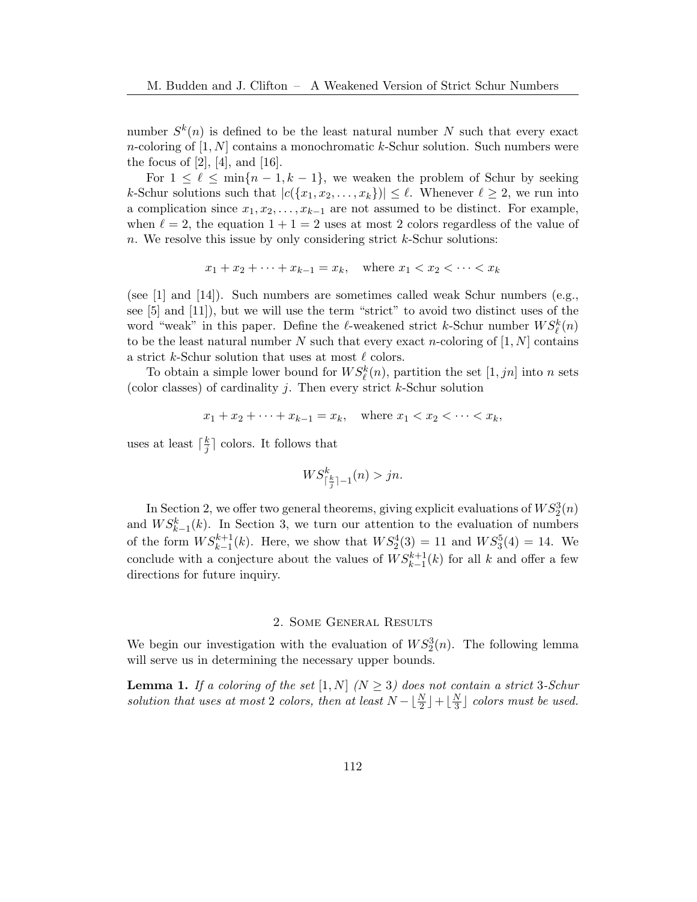number  $S^k(n)$  is defined to be the least natural number N such that every exact *n*-coloring of  $[1, N]$  contains a monochromatic k-Schur solution. Such numbers were the focus of  $[2]$ ,  $[4]$ , and  $[16]$ .

For  $1 \leq \ell \leq \min\{n-1, k-1\}$ , we weaken the problem of Schur by seeking k-Schur solutions such that  $|c(\{x_1, x_2, \ldots, x_k\})| \leq \ell$ . Whenever  $\ell \geq 2$ , we run into a complication since  $x_1, x_2, \ldots, x_{k-1}$  are not assumed to be distinct. For example, when  $\ell = 2$ , the equation  $1 + 1 = 2$  uses at most 2 colors regardless of the value of n. We resolve this issue by only considering strict  $k$ -Schur solutions:

$$
x_1 + x_2 + \dots + x_{k-1} = x_k
$$
, where  $x_1 < x_2 < \dots < x_k$ 

(see  $[1]$  and  $[14]$ ). Such numbers are sometimes called weak Schur numbers (e.g., see [\[5\]](#page-10-8) and [\[11\]](#page-10-9)), but we will use the term "strict" to avoid two distinct uses of the word "weak" in this paper. Define the  $\ell$ -weakened strict k-Schur number  $WS^k_{\ell}(n)$ to be the least natural number N such that every exact n-coloring of  $[1, N]$  contains a strict k-Schur solution that uses at most  $\ell$  colors.

To obtain a simple lower bound for  $WS_{\ell}^k(n)$ , partition the set  $[1, jn]$  into n sets (color classes) of cardinality  $j$ . Then every strict  $k$ -Schur solution

$$
x_1 + x_2 + \cdots + x_{k-1} = x_k
$$
, where  $x_1 < x_2 < \cdots < x_k$ ,

uses at least  $\lceil \frac{k}{i} \rceil$  $\frac{k}{j}$  colors. It follows that

$$
WS^k_{\lceil \frac{k}{j}\rceil -1}(n) > jn.
$$

In Section [2,](#page-1-0) we offer two general theorems, giving explicit evaluations of  $WS_2^3(n)$ and  $WS_{k-1}^k(k)$ . In Section [3,](#page-6-0) we turn our attention to the evaluation of numbers of the form  $WS_{k-1}^{k+1}(k)$ . Here, we show that  $WS_2^4(3) = 11$  and  $WS_3^5(4) = 14$ . We conclude with a conjecture about the values of  $WS_{k-1}^{k+1}(k)$  for all k and offer a few directions for future inquiry.

#### 2. Some General Results

<span id="page-1-0"></span>We begin our investigation with the evaluation of  $WS_2^3(n)$ . The following lemma will serve us in determining the necessary upper bounds.

<span id="page-1-1"></span>**Lemma 1.** If a coloring of the set  $[1, N]$   $(N \geq 3)$  does not contain a strict 3-Schur solution that uses at most 2 colors, then at least  $N - \lfloor \frac{N}{2} \rfloor + \lfloor \frac{N}{3} \rfloor$  $\frac{N}{3}$  colors must be used.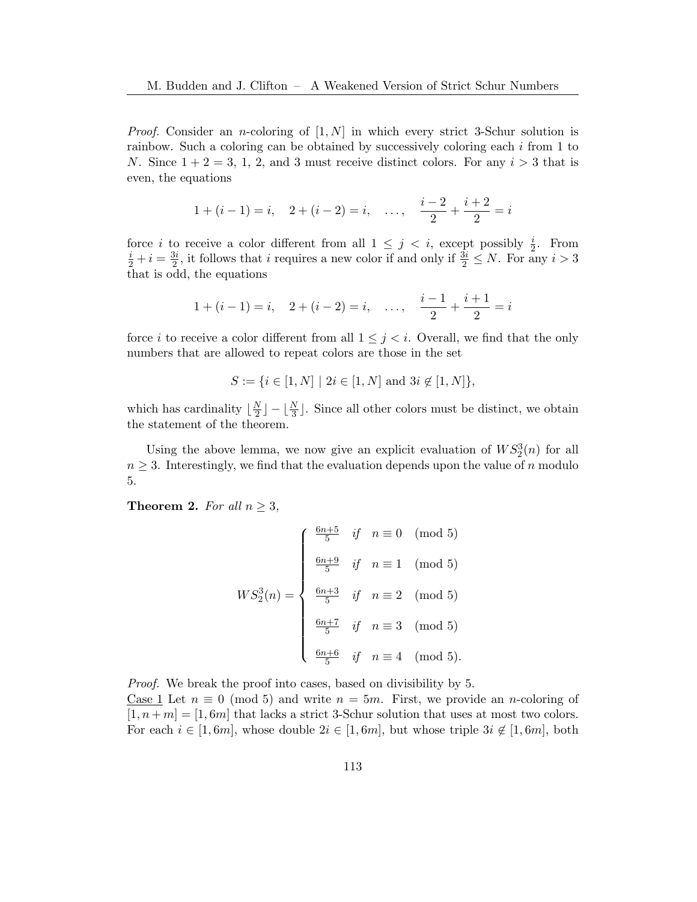*Proof.* Consider an *n*-coloring of  $[1, N]$  in which every strict 3-Schur solution is rainbow. Such a coloring can be obtained by successively coloring each i from 1 to N. Since  $1 + 2 = 3, 1, 2,$  and 3 must receive distinct colors. For any  $i > 3$  that is even, the equations

$$
1 + (i - 1) = i
$$
,  $2 + (i - 2) = i$ , ...,  $\frac{i - 2}{2} + \frac{i + 2}{2} = i$ 

force *i* to receive a color different from all  $1 \leq j \leq i$ , except possibly  $\frac{i}{2}$ . From  $\frac{i}{2} + i = \frac{3i}{2}$  $\frac{3i}{2}$ , it follows that i requires a new color if and only if  $\frac{3i}{2} \leq N$ . For any  $i > 3$ that is odd, the equations

$$
1 + (i - 1) = i
$$
,  $2 + (i - 2) = i$ , ...,  $\frac{i - 1}{2} + \frac{i + 1}{2} = i$ 

force i to receive a color different from all  $1 \leq j \leq i$ . Overall, we find that the only numbers that are allowed to repeat colors are those in the set

$$
S := \{ i \in [1, N] \mid 2i \in [1, N] \text{ and } 3i \notin [1, N] \},
$$

which has cardinality  $\frac{N}{2}$  $\frac{N}{2}$   $\left[-\lfloor \frac{N}{3} \rfloor\right]$ . Since all other colors must be distinct, we obtain the statement of the theorem.

Using the above lemma, we now give an explicit evaluation of  $WS_2^3(n)$  for all  $n \geq 3$ . Interestingly, we find that the evaluation depends upon the value of n modulo 5.

**Theorem 2.** For all  $n \geq 3$ ,

$$
WS_2^3(n) = \begin{cases} \frac{6n+5}{5} & \text{if } n \equiv 0 \pmod{5} \\ \frac{6n+9}{5} & \text{if } n \equiv 1 \pmod{5} \\ \frac{6n+3}{5} & \text{if } n \equiv 2 \pmod{5} \\ \frac{6n+7}{5} & \text{if } n \equiv 3 \pmod{5} \\ \frac{6n+6}{5} & \text{if } n \equiv 4 \pmod{5} .\end{cases}
$$

Proof. We break the proof into cases, based on divisibility by 5. Case 1 Let  $n \equiv 0 \pmod{5}$  and write  $n = 5m$ . First, we provide an *n*-coloring of  $[1, n+m] = [1, 6m]$  that lacks a strict 3-Schur solution that uses at most two colors. For each  $i \in [1, 6m]$ , whose double  $2i \in [1, 6m]$ , but whose triple  $3i \notin [1, 6m]$ , both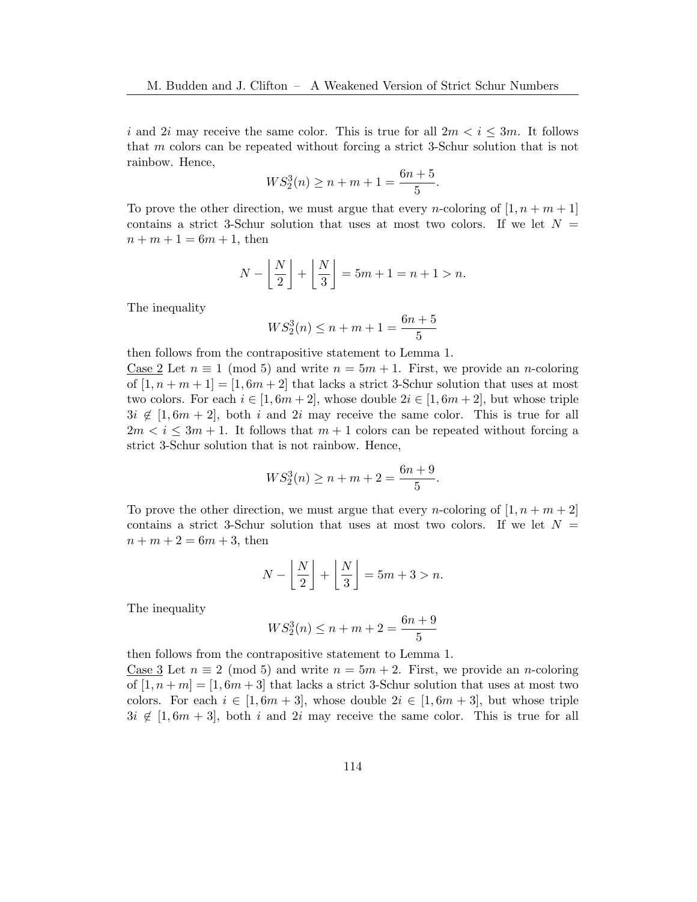i and 2i may receive the same color. This is true for all  $2m < i \leq 3m$ . It follows that m colors can be repeated without forcing a strict 3-Schur solution that is not rainbow. Hence,

$$
WS_2^3(n) \ge n + m + 1 = \frac{6n + 5}{5}.
$$

To prove the other direction, we must argue that every *n*-coloring of  $[1, n + m + 1]$ contains a strict 3-Schur solution that uses at most two colors. If we let  $N =$  $n + m + 1 = 6m + 1$ , then

$$
N - \left\lfloor \frac{N}{2} \right\rfloor + \left\lfloor \frac{N}{3} \right\rfloor = 5m + 1 = n + 1 > n.
$$

The inequality

$$
WS_2^3(n) \le n + m + 1 = \frac{6n + 5}{5}
$$

then follows from the contrapositive statement to Lemma [1.](#page-1-1)

Case 2 Let  $n \equiv 1 \pmod{5}$  and write  $n = 5m + 1$ . First, we provide an *n*-coloring of  $[1, n+m+1] = [1, 6m+2]$  that lacks a strict 3-Schur solution that uses at most two colors. For each  $i \in [1, 6m + 2]$ , whose double  $2i \in [1, 6m + 2]$ , but whose triple  $3i \notin [1, 6m + 2]$ , both i and  $2i$  may receive the same color. This is true for all  $2m < i \leq 3m + 1$ . It follows that  $m + 1$  colors can be repeated without forcing a strict 3-Schur solution that is not rainbow. Hence,

$$
WS_2^3(n) \ge n + m + 2 = \frac{6n + 9}{5}.
$$

To prove the other direction, we must argue that every *n*-coloring of  $[1, n + m + 2]$ contains a strict 3-Schur solution that uses at most two colors. If we let  $N =$  $n + m + 2 = 6m + 3$ , then

$$
N - \left\lfloor \frac{N}{2} \right\rfloor + \left\lfloor \frac{N}{3} \right\rfloor = 5m + 3 > n.
$$

The inequality

$$
WS_2^3(n) \le n + m + 2 = \frac{6n + 9}{5}
$$

then follows from the contrapositive statement to Lemma [1.](#page-1-1)

Case 3 Let  $n \equiv 2 \pmod{5}$  and write  $n = 5m + 2$ . First, we provide an *n*-coloring of  $[1, n+m] = [1, 6m+3]$  that lacks a strict 3-Schur solution that uses at most two colors. For each  $i \in [1, 6m + 3]$ , whose double  $2i \in [1, 6m + 3]$ , but whose triple  $3i \notin [1, 6m + 3]$ , both i and 2i may receive the same color. This is true for all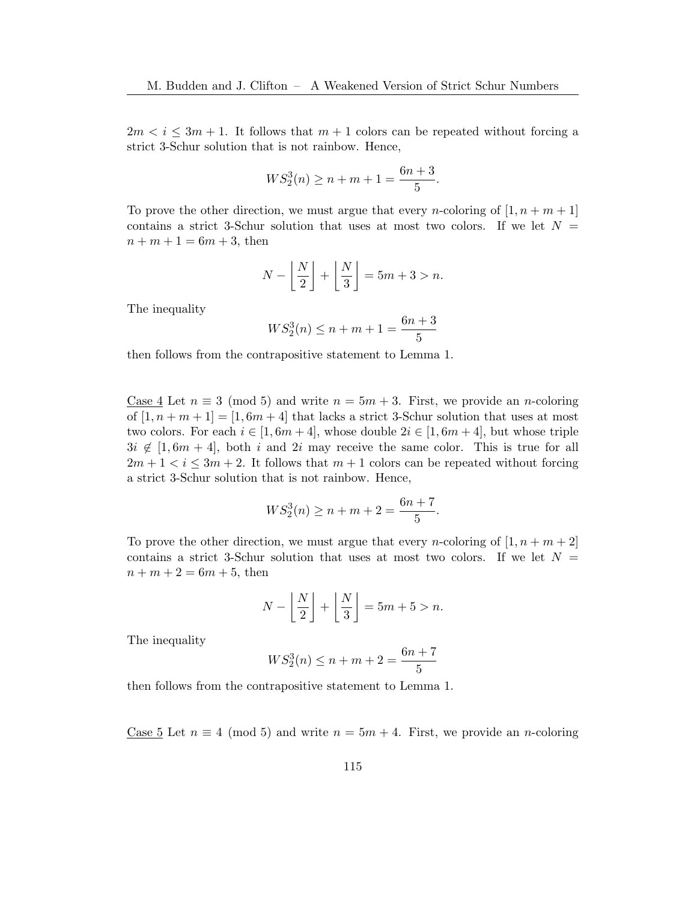$2m < i \leq 3m + 1$ . It follows that  $m + 1$  colors can be repeated without forcing a strict 3-Schur solution that is not rainbow. Hence,

$$
WS_2^3(n) \ge n + m + 1 = \frac{6n + 3}{5}.
$$

To prove the other direction, we must argue that every *n*-coloring of  $[1, n + m + 1]$ contains a strict 3-Schur solution that uses at most two colors. If we let  $N =$  $n + m + 1 = 6m + 3$ , then

$$
N - \left\lfloor \frac{N}{2} \right\rfloor + \left\lfloor \frac{N}{3} \right\rfloor = 5m + 3 > n.
$$

The inequality

$$
WS_2^3(n) \le n + m + 1 = \frac{6n + 3}{5}
$$

then follows from the contrapositive statement to Lemma [1.](#page-1-1)

Case 4 Let  $n \equiv 3 \pmod{5}$  and write  $n = 5m + 3$ . First, we provide an *n*-coloring of  $[1, n+m+1] = [1, 6m+4]$  that lacks a strict 3-Schur solution that uses at most two colors. For each  $i \in [1, 6m + 4]$ , whose double  $2i \in [1, 6m + 4]$ , but whose triple  $3i \notin [1, 6m + 4]$ , both i and 2i may receive the same color. This is true for all  $2m + 1 < i \leq 3m + 2$ . It follows that  $m + 1$  colors can be repeated without forcing a strict 3-Schur solution that is not rainbow. Hence,

$$
WS_2^3(n) \ge n + m + 2 = \frac{6n + 7}{5}.
$$

To prove the other direction, we must argue that every *n*-coloring of  $[1, n + m + 2]$ contains a strict 3-Schur solution that uses at most two colors. If we let  $N =$  $n + m + 2 = 6m + 5$ , then

$$
N - \left\lfloor \frac{N}{2} \right\rfloor + \left\lfloor \frac{N}{3} \right\rfloor = 5m + 5 > n.
$$

The inequality

$$
WS_2^3(n) \le n + m + 2 = \frac{6n + 7}{5}
$$

then follows from the contrapositive statement to Lemma [1.](#page-1-1)

Case 5 Let  $n \equiv 4 \pmod{5}$  and write  $n = 5m + 4$ . First, we provide an *n*-coloring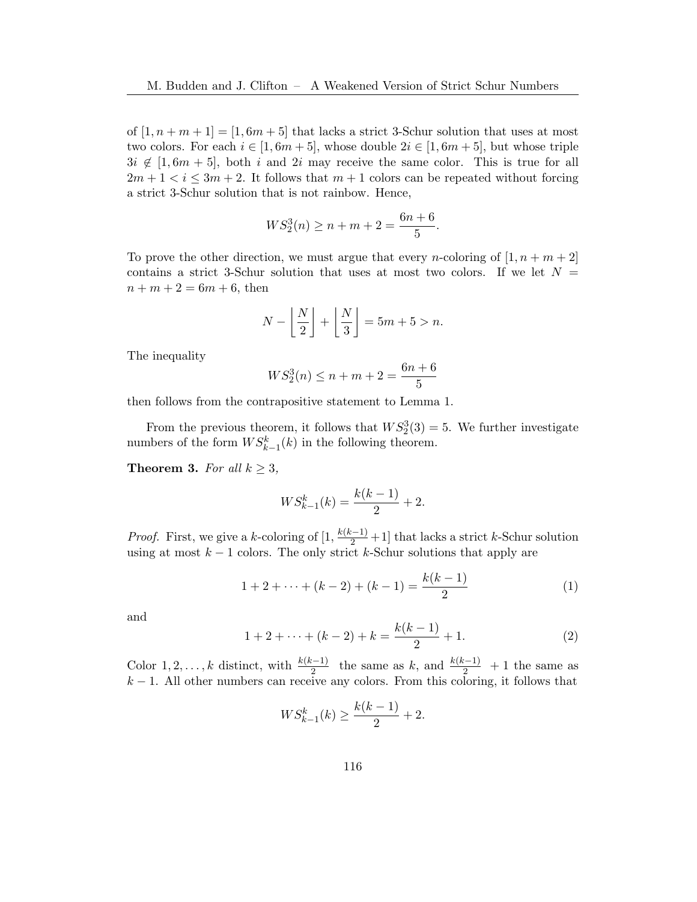of  $[1, n+m+1] = [1, 6m+5]$  that lacks a strict 3-Schur solution that uses at most two colors. For each  $i \in [1, 6m + 5]$ , whose double  $2i \in [1, 6m + 5]$ , but whose triple  $3i \notin [1, 6m + 5]$ , both i and 2i may receive the same color. This is true for all  $2m + 1 < i \leq 3m + 2$ . It follows that  $m + 1$  colors can be repeated without forcing a strict 3-Schur solution that is not rainbow. Hence,

$$
WS_2^3(n) \ge n + m + 2 = \frac{6n + 6}{5}.
$$

To prove the other direction, we must argue that every *n*-coloring of  $[1, n + m + 2]$ contains a strict 3-Schur solution that uses at most two colors. If we let  $N =$  $n + m + 2 = 6m + 6$ , then

$$
N - \left\lfloor \frac{N}{2} \right\rfloor + \left\lfloor \frac{N}{3} \right\rfloor = 5m + 5 > n.
$$

The inequality

$$
WS_2^3(n) \le n + m + 2 = \frac{6n + 6}{5}
$$

then follows from the contrapositive statement to Lemma [1.](#page-1-1)

From the previous theorem, it follows that  $WS_2^3(3) = 5$ . We further investigate numbers of the form  $WS_{k-1}^k(k)$  in the following theorem.

**Theorem 3.** For all  $k \geq 3$ ,

$$
WS_{k-1}^{k}(k) = \frac{k(k-1)}{2} + 2.
$$

*Proof.* First, we give a k-coloring of  $\left[1, \frac{k(k-1)}{2} + 1\right]$  that lacks a strict k-Schur solution using at most  $k - 1$  colors. The only strict k-Schur solutions that apply are

<span id="page-5-0"></span>
$$
1 + 2 + \dots + (k - 2) + (k - 1) = \frac{k(k - 1)}{2} \tag{1}
$$

and

<span id="page-5-1"></span>
$$
1 + 2 + \dots + (k - 2) + k = \frac{k(k - 1)}{2} + 1.
$$
 (2)

Color 1, 2, ..., k distinct, with  $\frac{k(k-1)}{2}$  the same as k, and  $\frac{k(k-1)}{2}$  + 1 the same as  $k-1$ . All other numbers can receive any colors. From this coloring, it follows that

$$
WS_{k-1}^{k}(k) \ge \frac{k(k-1)}{2} + 2.
$$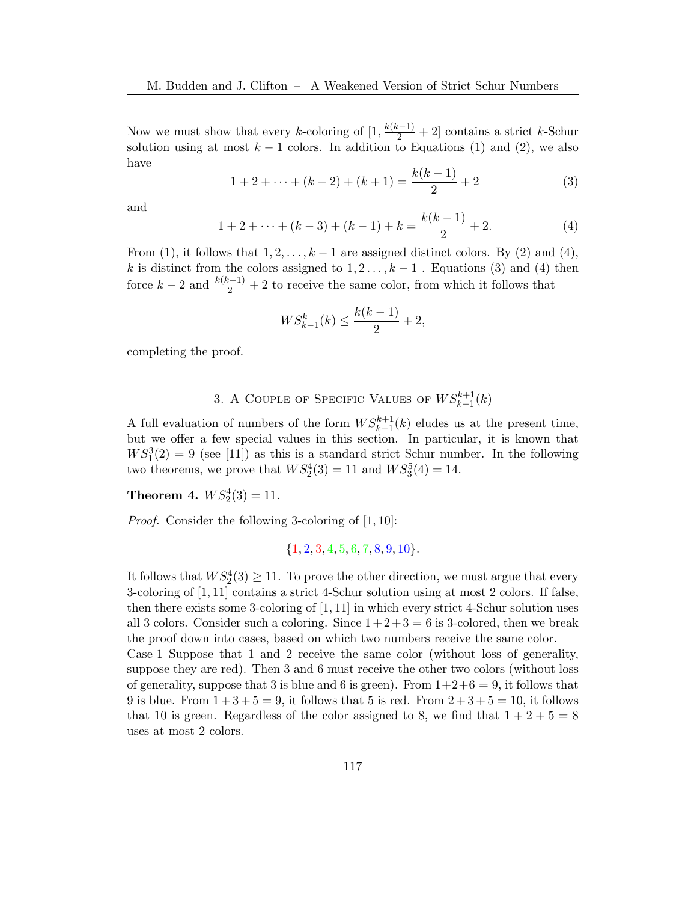Now we must show that every k-coloring of  $[1, \frac{k(k-1)}{2} + 2]$  contains a strict k-Schur solution using at most  $k-1$  colors. In addition to Equations [\(1\)](#page-5-0) and [\(2\)](#page-5-1), we also have

<span id="page-6-2"></span>
$$
1 + 2 + \dots + (k - 2) + (k + 1) = \frac{k(k - 1)}{2} + 2
$$
 (3)

and

<span id="page-6-1"></span>
$$
1 + 2 + \dots + (k - 3) + (k - 1) + k = \frac{k(k - 1)}{2} + 2.
$$
 (4)

From [\(1\)](#page-5-0), it follows that  $1, 2, \ldots, k-1$  are assigned distinct colors. By [\(2\)](#page-5-1) and [\(4\)](#page-6-1), k is distinct from the colors assigned to  $1, 2, \ldots, k-1$ . Equations [\(3\)](#page-6-2) and [\(4\)](#page-6-1) then force  $k-2$  and  $\frac{k(k-1)}{2}+2$  to receive the same color, from which it follows that

$$
WS_{k-1}^k(k) \le \frac{k(k-1)}{2} + 2,
$$

completing the proof.

# 3. A COUPLE OF SPECIFIC VALUES OF  $WS^{k+1}_{k-1}(k)$

<span id="page-6-0"></span>A full evaluation of numbers of the form  $WS_{k-1}^{k+1}(k)$  eludes us at the present time, but we offer a few special values in this section. In particular, it is known that  $WS_1^3(2) = 9$  (see [\[11\]](#page-10-9)) as this is a standard strict Schur number. In the following two theorems, we prove that  $WS_2^4(3) = 11$  and  $WS_3^5(4) = 14$ .

**Theorem 4.**  $WS_2^4(3) = 11$ .

Proof. Consider the following 3-coloring of [1, 10]:

 ${1, 2, 3, 4, 5, 6, 7, 8, 9, 10}.$ 

It follows that  $WS_2^4(3) \ge 11$ . To prove the other direction, we must argue that every 3-coloring of [1, 11] contains a strict 4-Schur solution using at most 2 colors. If false, then there exists some 3-coloring of [1, 11] in which every strict 4-Schur solution uses all 3 colors. Consider such a coloring. Since  $1+2+3=6$  is 3-colored, then we break the proof down into cases, based on which two numbers receive the same color.

Case 1 Suppose that 1 and 2 receive the same color (without loss of generality, suppose they are red). Then 3 and 6 must receive the other two colors (without loss of generality, suppose that 3 is blue and 6 is green). From  $1+2+6=9$ , it follows that 9 is blue. From  $1 + 3 + 5 = 9$ , it follows that 5 is red. From  $2 + 3 + 5 = 10$ , it follows that 10 is green. Regardless of the color assigned to 8, we find that  $1+2+5=8$ uses at most 2 colors.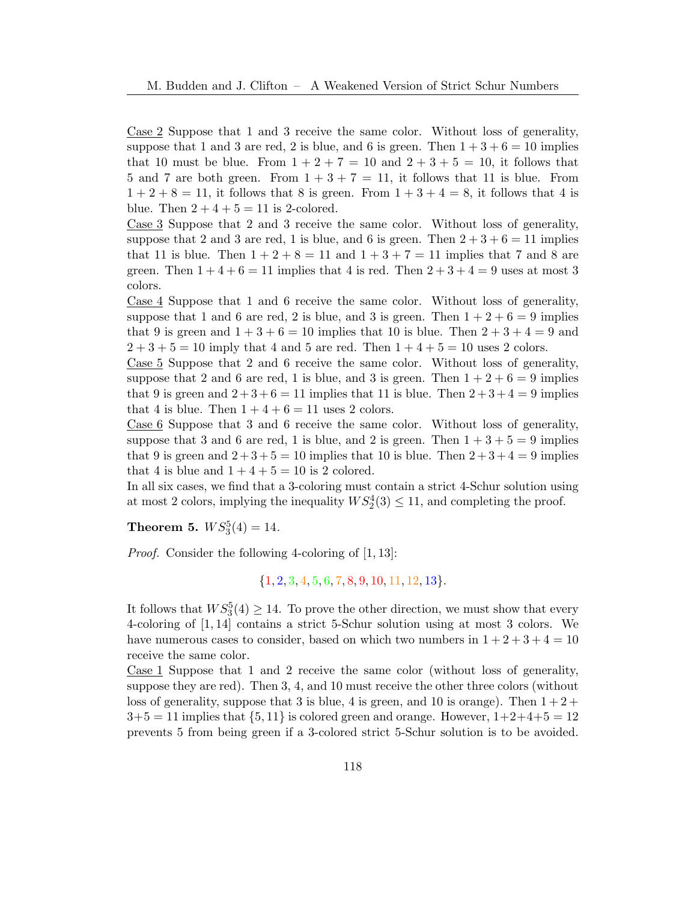Case 2 Suppose that 1 and 3 receive the same color. Without loss of generality, suppose that 1 and 3 are red, 2 is blue, and 6 is green. Then  $1+3+6=10$  implies that 10 must be blue. From  $1 + 2 + 7 = 10$  and  $2 + 3 + 5 = 10$ , it follows that 5 and 7 are both green. From  $1 + 3 + 7 = 11$ , it follows that 11 is blue. From  $1 + 2 + 8 = 11$ , it follows that 8 is green. From  $1 + 3 + 4 = 8$ , it follows that 4 is blue. Then  $2+4+5=11$  is 2-colored.

Case 3 Suppose that 2 and 3 receive the same color. Without loss of generality, suppose that 2 and 3 are red, 1 is blue, and 6 is green. Then  $2+3+6=11$  implies that 11 is blue. Then  $1 + 2 + 8 = 11$  and  $1 + 3 + 7 = 11$  implies that 7 and 8 are green. Then  $1+4+6=11$  implies that 4 is red. Then  $2+3+4=9$  uses at most 3 colors.

Case 4 Suppose that 1 and 6 receive the same color. Without loss of generality, suppose that 1 and 6 are red, 2 is blue, and 3 is green. Then  $1+2+6=9$  implies that 9 is green and  $1 + 3 + 6 = 10$  implies that 10 is blue. Then  $2 + 3 + 4 = 9$  and  $2 + 3 + 5 = 10$  imply that 4 and 5 are red. Then  $1 + 4 + 5 = 10$  uses 2 colors.

Case 5 Suppose that 2 and 6 receive the same color. Without loss of generality, suppose that 2 and 6 are red, 1 is blue, and 3 is green. Then  $1+2+6=9$  implies that 9 is green and  $2+3+6=11$  implies that 11 is blue. Then  $2+3+4=9$  implies that 4 is blue. Then  $1 + 4 + 6 = 11$  uses 2 colors.

Case  $6$  Suppose that 3 and 6 receive the same color. Without loss of generality, suppose that 3 and 6 are red, 1 is blue, and 2 is green. Then  $1+3+5=9$  implies that 9 is green and  $2+3+5=10$  implies that 10 is blue. Then  $2+3+4=9$  implies that 4 is blue and  $1+4+5=10$  is 2 colored.

In all six cases, we find that a 3-coloring must contain a strict 4-Schur solution using at most 2 colors, implying the inequality  $WS_2^4(3) \le 11$ , and completing the proof.

**Theorem 5.**  $WS_3^5(4) = 14$ .

Proof. Consider the following 4-coloring of [1, 13]:

 ${1, 2, 3, 4, 5, 6, 7, 8, 9, 10, 11, 12, 13}.$ 

It follows that  $WS_3^5(4) \geq 14$ . To prove the other direction, we must show that every 4-coloring of [1, 14] contains a strict 5-Schur solution using at most 3 colors. We have numerous cases to consider, based on which two numbers in  $1 + 2 + 3 + 4 = 10$ receive the same color.

Case 1 Suppose that 1 and 2 receive the same color (without loss of generality, suppose they are red). Then 3, 4, and 10 must receive the other three colors (without loss of generality, suppose that 3 is blue, 4 is green, and 10 is orange). Then  $1+2+$  $3+5 = 11$  implies that  $\{5, 11\}$  is colored green and orange. However,  $1+2+4+5 = 12$ prevents 5 from being green if a 3-colored strict 5-Schur solution is to be avoided.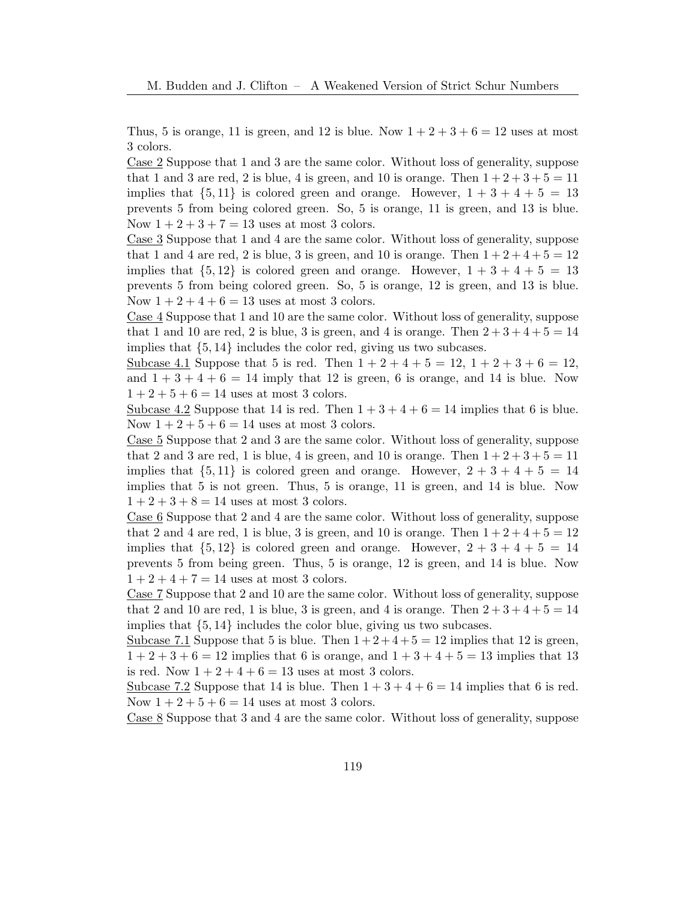Thus, 5 is orange, 11 is green, and 12 is blue. Now  $1+2+3+6=12$  uses at most 3 colors.

Case 2 Suppose that 1 and 3 are the same color. Without loss of generality, suppose that 1 and 3 are red, 2 is blue, 4 is green, and 10 is orange. Then  $1+2+3+5=11$ implies that  $\{5, 11\}$  is colored green and orange. However,  $1 + 3 + 4 + 5 = 13$ prevents 5 from being colored green. So, 5 is orange, 11 is green, and 13 is blue. Now  $1 + 2 + 3 + 7 = 13$  uses at most 3 colors.

Case 3 Suppose that 1 and 4 are the same color. Without loss of generality, suppose that 1 and 4 are red, 2 is blue, 3 is green, and 10 is orange. Then  $1+2+4+5=12$ implies that  $\{5, 12\}$  is colored green and orange. However,  $1 + 3 + 4 + 5 = 13$ prevents 5 from being colored green. So, 5 is orange, 12 is green, and 13 is blue. Now  $1 + 2 + 4 + 6 = 13$  uses at most 3 colors.

Case 4 Suppose that 1 and 10 are the same color. Without loss of generality, suppose that 1 and 10 are red, 2 is blue, 3 is green, and 4 is orange. Then  $2+3+4+5=14$ implies that {5, 14} includes the color red, giving us two subcases.

Subcase 4.1 Suppose that 5 is red. Then  $1+2+4+5=12$ ,  $1+2+3+6=12$ , and  $1+3+4+6=14$  imply that 12 is green, 6 is orange, and 14 is blue. Now  $1 + 2 + 5 + 6 = 14$  uses at most 3 colors.

Subcase 4.2 Suppose that 14 is red. Then  $1+3+4+6=14$  implies that 6 is blue. Now  $1 + 2 + 5 + 6 = 14$  uses at most 3 colors.

Case 5 Suppose that 2 and 3 are the same color. Without loss of generality, suppose that 2 and 3 are red, 1 is blue, 4 is green, and 10 is orange. Then  $1+2+3+5=11$ implies that  $\{5, 11\}$  is colored green and orange. However,  $2 + 3 + 4 + 5 = 14$ implies that 5 is not green. Thus, 5 is orange, 11 is green, and 14 is blue. Now  $1 + 2 + 3 + 8 = 14$  uses at most 3 colors.

Case 6 Suppose that 2 and 4 are the same color. Without loss of generality, suppose that 2 and 4 are red, 1 is blue, 3 is green, and 10 is orange. Then  $1+2+4+5=12$ implies that  $\{5, 12\}$  is colored green and orange. However,  $2 + 3 + 4 + 5 = 14$ prevents 5 from being green. Thus, 5 is orange, 12 is green, and 14 is blue. Now  $1 + 2 + 4 + 7 = 14$  uses at most 3 colors.

Case 7 Suppose that 2 and 10 are the same color. Without loss of generality, suppose that 2 and 10 are red, 1 is blue, 3 is green, and 4 is orange. Then  $2+3+4+5=14$ implies that {5, 14} includes the color blue, giving us two subcases.

Subcase 7.1 Suppose that 5 is blue. Then  $1+2+4+5=12$  implies that 12 is green,  $1 + 2 + 3 + 6 = 12$  implies that 6 is orange, and  $1 + 3 + 4 + 5 = 13$  implies that 13 is red. Now  $1+2+4+6=13$  uses at most 3 colors.

Subcase 7.2 Suppose that 14 is blue. Then  $1+3+4+6=14$  implies that 6 is red. Now  $1 + 2 + 5 + 6 = 14$  uses at most 3 colors.

Case 8 Suppose that 3 and 4 are the same color. Without loss of generality, suppose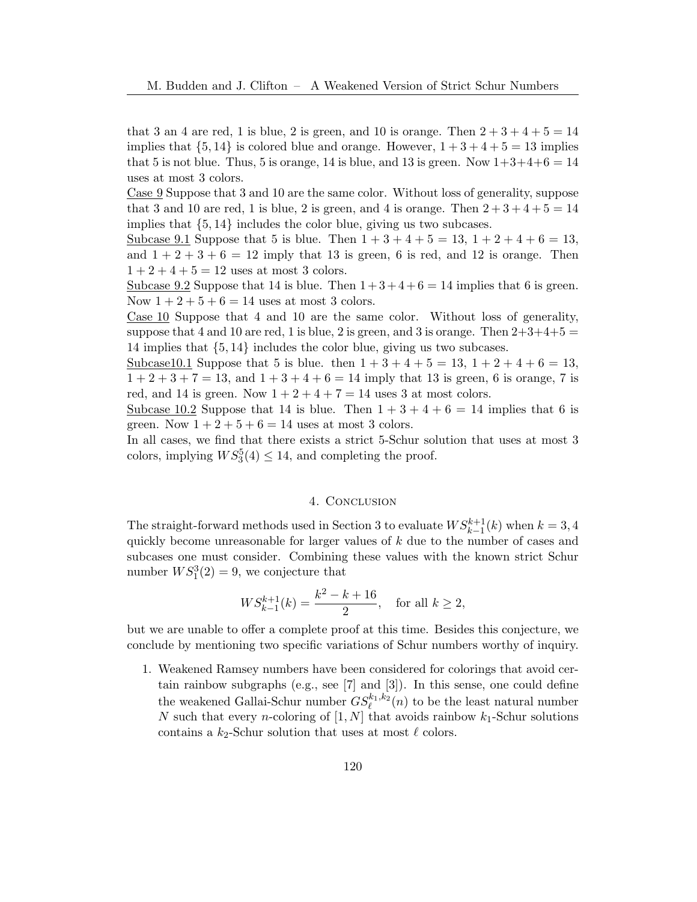that 3 an 4 are red, 1 is blue, 2 is green, and 10 is orange. Then  $2+3+4+5=14$ implies that  $\{5, 14\}$  is colored blue and orange. However,  $1 + 3 + 4 + 5 = 13$  implies that 5 is not blue. Thus, 5 is orange, 14 is blue, and 13 is green. Now  $1+3+4+6=14$ uses at most 3 colors.

Case 9 Suppose that 3 and 10 are the same color. Without loss of generality, suppose that 3 and 10 are red, 1 is blue, 2 is green, and 4 is orange. Then  $2+3+4+5=14$ implies that  $\{5, 14\}$  includes the color blue, giving us two subcases.

Subcase 9.1 Suppose that 5 is blue. Then  $1+3+4+5=13$ ,  $1+2+4+6=13$ , and  $1+2+3+6=12$  imply that 13 is green, 6 is red, and 12 is orange. Then  $1 + 2 + 4 + 5 = 12$  uses at most 3 colors.

Subcase 9.2 Suppose that 14 is blue. Then  $1+3+4+6=14$  implies that 6 is green. Now  $1 + 2 + 5 + 6 = 14$  uses at most 3 colors.

Case 10 Suppose that 4 and 10 are the same color. Without loss of generality, suppose that 4 and 10 are red, 1 is blue, 2 is green, and 3 is orange. Then  $2+3+4+5=$ 14 implies that {5, 14} includes the color blue, giving us two subcases.

Subcase10.1 Suppose that 5 is blue. then  $1 + 3 + 4 + 5 = 13$ ,  $1 + 2 + 4 + 6 = 13$ ,  $1+2+3+7=13$ , and  $1+3+4+6=14$  imply that 13 is green, 6 is orange, 7 is red, and 14 is green. Now  $1+2+4+7=14$  uses 3 at most colors.

Subcase 10.2 Suppose that 14 is blue. Then  $1+3+4+6=14$  implies that 6 is green. Now  $1+2+5+6=14$  uses at most 3 colors.

In all cases, we find that there exists a strict 5-Schur solution that uses at most 3 colors, implying  $WS_3^5(4) \le 14$ , and completing the proof.

# 4. Conclusion

The straight-forward methods used in Section [3](#page-6-0) to evaluate  $WS_{k-1}^{k+1}(k)$  when  $k = 3, 4$ quickly become unreasonable for larger values of k due to the number of cases and subcases one must consider. Combining these values with the known strict Schur number  $WS_1^3(2) = 9$ , we conjecture that

$$
WS_{k-1}^{k+1}(k) = \frac{k^2 - k + 16}{2}, \quad \text{for all } k \ge 2,
$$

but we are unable to offer a complete proof at this time. Besides this conjecture, we conclude by mentioning two specific variations of Schur numbers worthy of inquiry.

1. Weakened Ramsey numbers have been considered for colorings that avoid certain rainbow subgraphs (e.g., see [\[7\]](#page-10-10) and [\[3\]](#page-10-11)). In this sense, one could define the weakened Gallai-Schur number  $GS_{\ell}^{k_1,k_2}(n)$  to be the least natural number N such that every *n*-coloring of  $[1, N]$  that avoids rainbow  $k_1$ -Schur solutions contains a  $k_2$ -Schur solution that uses at most  $\ell$  colors.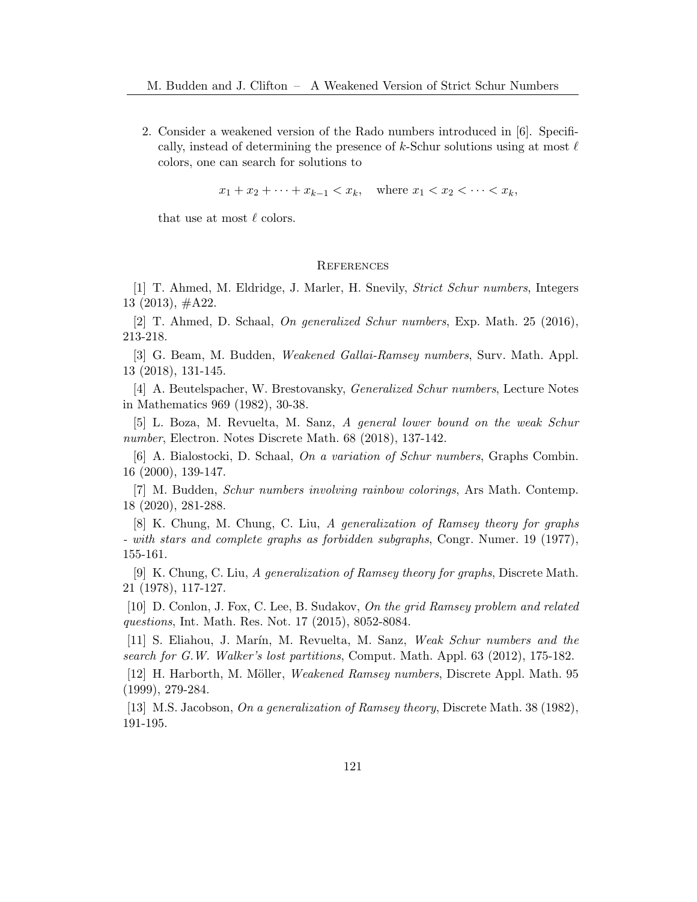2. Consider a weakened version of the Rado numbers introduced in [\[6\]](#page-10-12). Specifically, instead of determining the presence of k-Schur solutions using at most  $\ell$ colors, one can search for solutions to

 $x_1 + x_2 + \cdots + x_{k-1} < x_k$ , where  $x_1 < x_2 < \cdots < x_k$ ,

that use at most  $\ell$  colors.

### **REFERENCES**

<span id="page-10-7"></span>[1] T. Ahmed, M. Eldridge, J. Marler, H. Snevily, Strict Schur numbers, Integers 13 (2013), #A22.

<span id="page-10-5"></span>[2] T. Ahmed, D. Schaal, On generalized Schur numbers, Exp. Math. 25 (2016), 213-218.

<span id="page-10-11"></span>[3] G. Beam, M. Budden, Weakened Gallai-Ramsey numbers, Surv. Math. Appl. 13 (2018), 131-145.

<span id="page-10-6"></span>[4] A. Beutelspacher, W. Brestovansky, Generalized Schur numbers, Lecture Notes in Mathematics 969 (1982), 30-38.

<span id="page-10-8"></span>[5] L. Boza, M. Revuelta, M. Sanz, A general lower bound on the weak Schur number, Electron. Notes Discrete Math. 68 (2018), 137-142.

<span id="page-10-12"></span>[6] A. Bialostocki, D. Schaal, On a variation of Schur numbers, Graphs Combin. 16 (2000), 139-147.

<span id="page-10-10"></span>[7] M. Budden, Schur numbers involving rainbow colorings, Ars Math. Contemp. 18 (2020), 281-288.

<span id="page-10-0"></span>[8] K. Chung, M. Chung, C. Liu, A generalization of Ramsey theory for graphs - with stars and complete graphs as forbidden subgraphs, Congr. Numer. 19 (1977), 155-161.

<span id="page-10-1"></span>[9] K. Chung, C. Liu, A generalization of Ramsey theory for graphs, Discrete Math. 21 (1978), 117-127.

<span id="page-10-2"></span>[10] D. Conlon, J. Fox, C. Lee, B. Sudakov, On the grid Ramsey problem and related questions, Int. Math. Res. Not. 17 (2015), 8052-8084.

<span id="page-10-9"></span>[11] S. Eliahou, J. Mar´ın, M. Revuelta, M. Sanz, Weak Schur numbers and the search for G.W. Walker's lost partitions, Comput. Math. Appl. 63 (2012), 175-182.

<span id="page-10-3"></span>[12] H. Harborth, M. Möller, *Weakened Ramsey numbers*, Discrete Appl. Math. 95 (1999), 279-284.

<span id="page-10-4"></span>[13] M.S. Jacobson, On a generalization of Ramsey theory, Discrete Math. 38 (1982), 191-195.